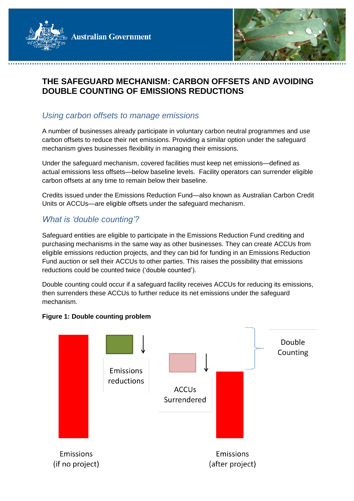

## **THE SAFEGUARD MECHANISM: CARBON OFFSETS AND AVOIDING DOUBLE COUNTING OF EMISSIONS REDUCTIONS**

### *Using carbon offsets to manage emissions*

A number of businesses already participate in voluntary carbon neutral programmes and use carbon offsets to reduce their net emissions. Providing a similar option under the safeguard mechanism gives businesses flexibility in managing their emissions.

Under the safeguard mechanism, covered facilities must keep net emissions—defined as actual emissions less offsets—below baseline levels. Facility operators can surrender eligible carbon offsets at any time to remain below their baseline.

Credits issued under the Emissions Reduction Fund—also known as Australian Carbon Credit Units or ACCUs—are eligible offsets under the safeguard mechanism.

# *What is 'double counting'?*

Safeguard entities are eligible to participate in the Emissions Reduction Fund crediting and purchasing mechanisms in the same way as other businesses. They can create ACCUs from eligible emissions reduction projects, and they can bid for funding in an Emissions Reduction Fund auction or sell their ACCUs to other parties. This raises the possibility that emissions reductions could be counted twice ('double counted').

Double counting could occur if a safeguard facility receives ACCUs for reducing its emissions, then surrenders these ACCUs to further reduce its net emissions under the safeguard mechanism.



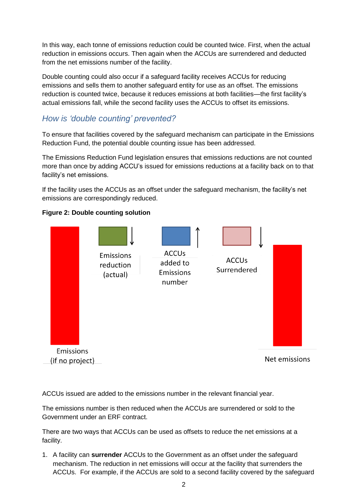In this way, each tonne of emissions reduction could be counted twice. First, when the actual reduction in emissions occurs. Then again when the ACCUs are surrendered and deducted from the net emissions number of the facility.

Double counting could also occur if a safeguard facility receives ACCUs for reducing emissions and sells them to another safeguard entity for use as an offset. The emissions reduction is counted twice, because it reduces emissions at both facilities—the first facility's actual emissions fall, while the second facility uses the ACCUs to offset its emissions.

# *How is 'double counting' prevented?*

To ensure that facilities covered by the safeguard mechanism can participate in the Emissions Reduction Fund, the potential double counting issue has been addressed.

The Emissions Reduction Fund legislation ensures that emissions reductions are not counted more than once by adding ACCU's issued for emissions reductions at a facility back on to that facility's net emissions.

If the facility uses the ACCUs as an offset under the safeguard mechanism, the facility's net emissions are correspondingly reduced.





ACCUs issued are added to the emissions number in the relevant financial year.

The emissions number is then reduced when the ACCUs are surrendered or sold to the Government under an ERF contract.

There are two ways that ACCUs can be used as offsets to reduce the net emissions at a facility.

1. A facility can **surrender** ACCUs to the Government as an offset under the safeguard mechanism. The reduction in net emissions will occur at the facility that surrenders the ACCUs. For example, if the ACCUs are sold to a second facility covered by the safeguard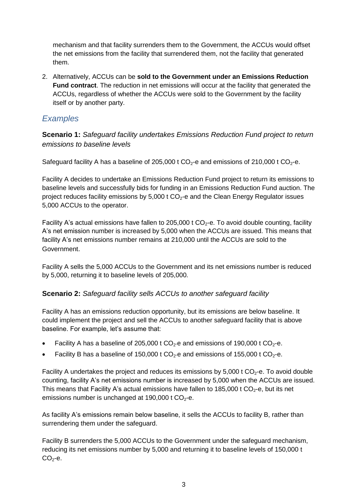mechanism and that facility surrenders them to the Government, the ACCUs would offset the net emissions from the facility that surrendered them, not the facility that generated them.

2. Alternatively, ACCUs can be **sold to the Government under an Emissions Reduction Fund contract**. The reduction in net emissions will occur at the facility that generated the ACCUs, regardless of whether the ACCUs were sold to the Government by the facility itself or by another party.

### *Examples*

**Scenario 1:** *Safeguard facility undertakes Emissions Reduction Fund project to return emissions to baseline levels*

Safeguard facility A has a baseline of 205,000 t  $CO<sub>2</sub>$ -e and emissions of 210,000 t  $CO<sub>2</sub>$ -e.

Facility A decides to undertake an Emissions Reduction Fund project to return its emissions to baseline levels and successfully bids for funding in an Emissions Reduction Fund auction. The project reduces facility emissions by  $5,000$  t  $CO<sub>2</sub>$ -e and the Clean Energy Regulator issues 5,000 ACCUs to the operator.

Facility A's actual emissions have fallen to 205,000 t  $CO<sub>2</sub>$ -e. To avoid double counting, facility A's net emission number is increased by 5,000 when the ACCUs are issued. This means that facility A's net emissions number remains at 210,000 until the ACCUs are sold to the Government.

Facility A sells the 5,000 ACCUs to the Government and its net emissions number is reduced by 5,000, returning it to baseline levels of 205,000.

### **Scenario 2:** *Safeguard facility sells ACCUs to another safeguard facility*

Facility A has an emissions reduction opportunity, but its emissions are below baseline. It could implement the project and sell the ACCUs to another safeguard facility that is above baseline. For example, let's assume that:

- Facility A has a baseline of 205,000 t  $CO<sub>2</sub>$ -e and emissions of 190,000 t  $CO<sub>2</sub>$ -e.
- Facility B has a baseline of 150,000 t  $CO<sub>2</sub>$ -e and emissions of 155,000 t  $CO<sub>2</sub>$ -e.

Facility A undertakes the project and reduces its emissions by  $5,000$  t CO<sub>2</sub>-e. To avoid double counting, facility A's net emissions number is increased by 5,000 when the ACCUs are issued. This means that Facility A's actual emissions have fallen to 185,000 t  $CO<sub>2</sub>$ -e, but its net emissions number is unchanged at 190,000 t  $CO<sub>2</sub>$ -e.

As facility A's emissions remain below baseline, it sells the ACCUs to facility B, rather than surrendering them under the safeguard.

Facility B surrenders the 5,000 ACCUs to the Government under the safeguard mechanism, reducing its net emissions number by 5,000 and returning it to baseline levels of 150,000 t  $CO<sub>2</sub> - e.$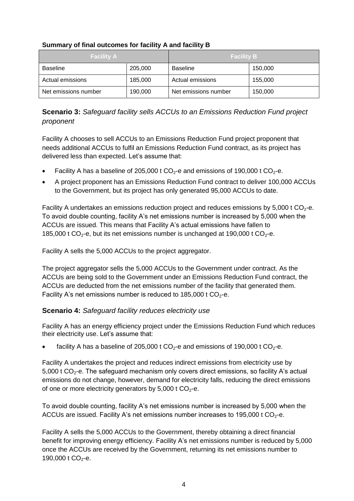| <b>Facility A</b>    |         | Facility B           |         |
|----------------------|---------|----------------------|---------|
| <b>Baseline</b>      | 205,000 | <b>Baseline</b>      | 150,000 |
| Actual emissions     | 185,000 | Actual emissions     | 155,000 |
| Net emissions number | 190,000 | Net emissions number | 150,000 |

#### **Summary of final outcomes for facility A and facility B**

### **Scenario 3:** *Safeguard facility sells ACCUs to an Emissions Reduction Fund project proponent*

Facility A chooses to sell ACCUs to an Emissions Reduction Fund project proponent that needs additional ACCUs to fulfil an Emissions Reduction Fund contract, as its project has delivered less than expected. Let's assume that:

- Facility A has a baseline of 205,000 t  $CO<sub>2</sub>$ -e and emissions of 190,000 t  $CO<sub>2</sub>$ -e.
- A project proponent has an Emissions Reduction Fund contract to deliver 100,000 ACCUs to the Government, but its project has only generated 95,000 ACCUs to date.

Facility A undertakes an emissions reduction project and reduces emissions by 5,000 t  $CO<sub>2</sub>$ -e. To avoid double counting, facility A's net emissions number is increased by 5,000 when the ACCUs are issued. This means that Facility A's actual emissions have fallen to 185,000 t  $CO_2$ -e, but its net emissions number is unchanged at 190,000 t  $CO_2$ -e.

Facility A sells the 5,000 ACCUs to the project aggregator.

The project aggregator sells the 5,000 ACCUs to the Government under contract. As the ACCUs are being sold to the Government under an Emissions Reduction Fund contract, the ACCUs are deducted from the net emissions number of the facility that generated them. Facility A's net emissions number is reduced to 185,000 t  $CO<sub>2</sub>$ -e.

#### **Scenario 4:** *Safeguard facility reduces electricity use*

Facility A has an energy efficiency project under the Emissions Reduction Fund which reduces their electricity use. Let's assume that:

facility A has a baseline of 205,000 t  $CO<sub>2</sub>$ -e and emissions of 190,000 t  $CO<sub>2</sub>$ -e.

Facility A undertakes the project and reduces indirect emissions from electricity use by 5,000 t  $CO<sub>2</sub>$ -e. The safeguard mechanism only covers direct emissions, so facility A's actual emissions do not change, however, demand for electricity falls, reducing the direct emissions of one or more electricity generators by  $5,000$  t CO<sub>2</sub>-e.

To avoid double counting, facility A's net emissions number is increased by 5,000 when the ACCUs are issued. Facility A's net emissions number increases to 195,000 t  $CO<sub>2</sub>$ -e.

Facility A sells the 5,000 ACCUs to the Government, thereby obtaining a direct financial benefit for improving energy efficiency. Facility A's net emissions number is reduced by 5,000 once the ACCUs are received by the Government, returning its net emissions number to 190,000 t  $CO<sub>2</sub>$ -e.